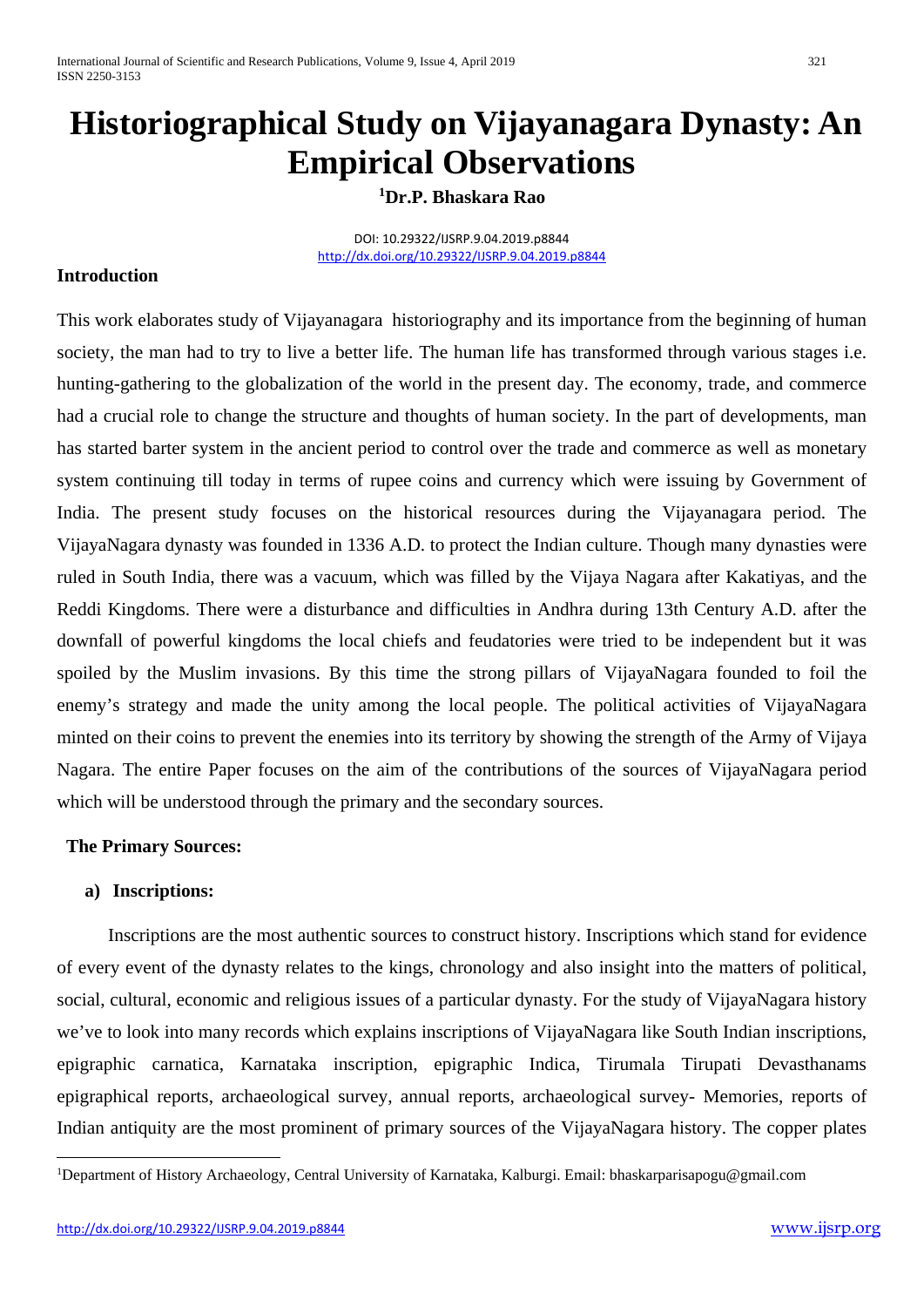# **Historiographical Study on Vijayanagara Dynasty: An Empirical Observations**

### **[1](#page-0-0)Dr.P. Bhaskara Rao**

DOI: 10.29322/IJSRP.9.04.2019.p8844 [http://dx.doi.org/10.29322/IJSRP.9.04.2019.p8844](http://dx.doi.org/10.29322/IJSRP.9.03.2019.p8844)

### **Introduction**

This work elaborates study of Vijayanagara historiography and its importance from the beginning of human society, the man had to try to live a better life. The human life has transformed through various stages i.e. hunting-gathering to the globalization of the world in the present day. The economy, trade, and commerce had a crucial role to change the structure and thoughts of human society. In the part of developments, man has started barter system in the ancient period to control over the trade and commerce as well as monetary system continuing till today in terms of rupee coins and currency which were issuing by Government of India. The present study focuses on the historical resources during the Vijayanagara period. The VijayaNagara dynasty was founded in 1336 A.D. to protect the Indian culture. Though many dynasties were ruled in South India, there was a vacuum, which was filled by the Vijaya Nagara after Kakatiyas, and the Reddi Kingdoms. There were a disturbance and difficulties in Andhra during 13th Century A.D. after the downfall of powerful kingdoms the local chiefs and feudatories were tried to be independent but it was spoiled by the Muslim invasions. By this time the strong pillars of VijayaNagara founded to foil the enemy's strategy and made the unity among the local people. The political activities of VijayaNagara minted on their coins to prevent the enemies into its territory by showing the strength of the Army of Vijaya Nagara. The entire Paper focuses on the aim of the contributions of the sources of VijayaNagara period which will be understood through the primary and the secondary sources.

#### **The Primary Sources:**

#### **a) Inscriptions:**

 Inscriptions are the most authentic sources to construct history. Inscriptions which stand for evidence of every event of the dynasty relates to the kings, chronology and also insight into the matters of political, social, cultural, economic and religious issues of a particular dynasty. For the study of VijayaNagara history we've to look into many records which explains inscriptions of VijayaNagara like South Indian inscriptions, epigraphic carnatica, Karnataka inscription, epigraphic Indica, Tirumala Tirupati Devasthanams epigraphical reports, archaeological survey, annual reports, archaeological survey- Memories, reports of Indian antiquity are the most prominent of primary sources of the VijayaNagara history. The copper plates

<span id="page-0-0"></span><sup>&</sup>lt;u>.</u> 1 Department of History Archaeology, Central University of Karnataka, Kalburgi. Email: bhaskarparisapogu@gmail.com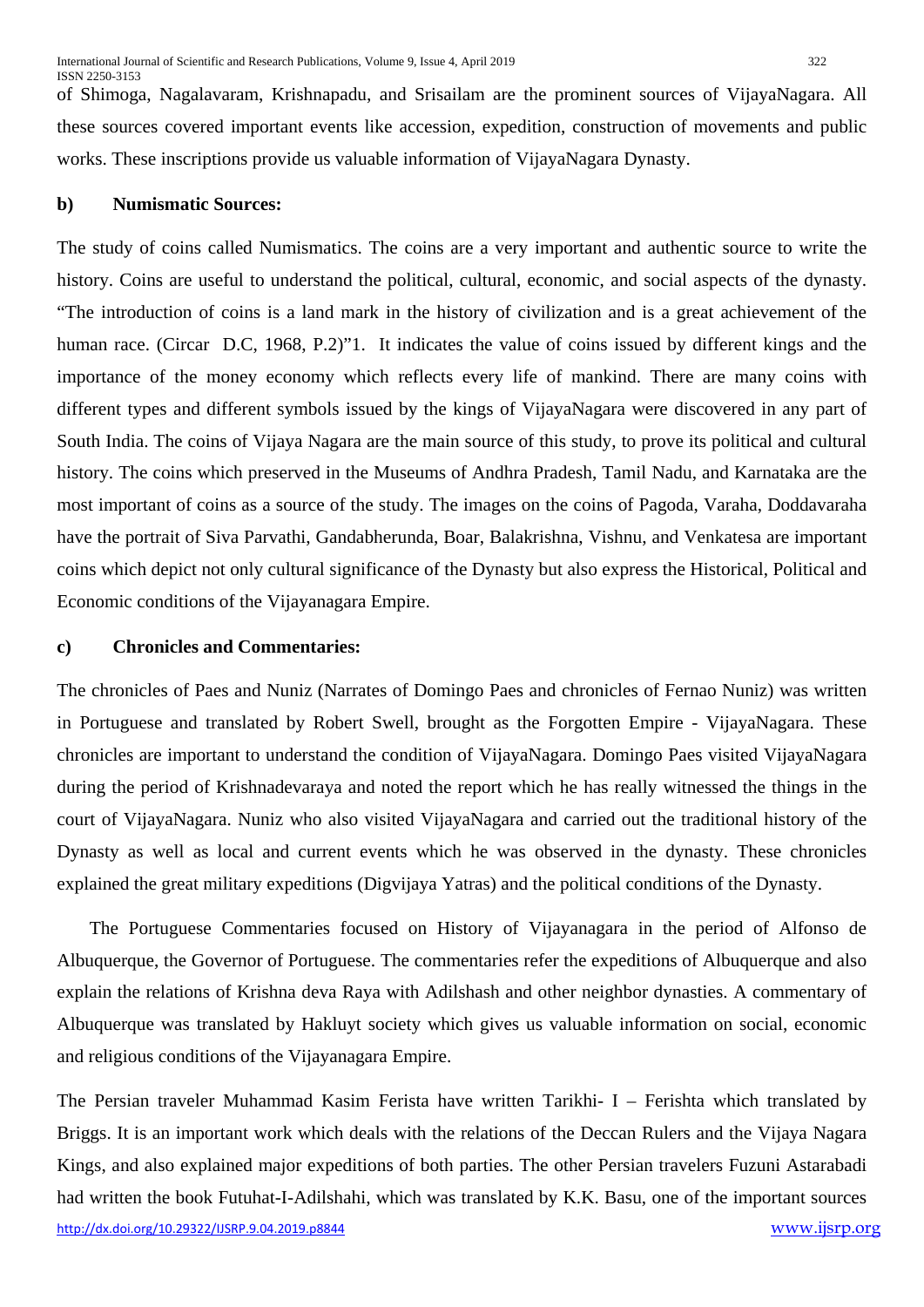of Shimoga, Nagalavaram, Krishnapadu, and Srisailam are the prominent sources of VijayaNagara. All these sources covered important events like accession, expedition, construction of movements and public works. These inscriptions provide us valuable information of VijayaNagara Dynasty.

#### **b) Numismatic Sources:**

The study of coins called Numismatics. The coins are a very important and authentic source to write the history. Coins are useful to understand the political, cultural, economic, and social aspects of the dynasty. "The introduction of coins is a land mark in the history of civilization and is a great achievement of the human race. (Circar D.C, 1968, P.2)"1. It indicates the value of coins issued by different kings and the importance of the money economy which reflects every life of mankind. There are many coins with different types and different symbols issued by the kings of VijayaNagara were discovered in any part of South India. The coins of Vijaya Nagara are the main source of this study, to prove its political and cultural history. The coins which preserved in the Museums of Andhra Pradesh, Tamil Nadu, and Karnataka are the most important of coins as a source of the study. The images on the coins of Pagoda, Varaha, Doddavaraha have the portrait of Siva Parvathi, Gandabherunda, Boar, Balakrishna, Vishnu, and Venkatesa are important coins which depict not only cultural significance of the Dynasty but also express the Historical, Political and Economic conditions of the Vijayanagara Empire.

### **c) Chronicles and Commentaries:**

The chronicles of Paes and Nuniz (Narrates of Domingo Paes and chronicles of Fernao Nuniz) was written in Portuguese and translated by Robert Swell, brought as the Forgotten Empire - VijayaNagara. These chronicles are important to understand the condition of VijayaNagara. Domingo Paes visited VijayaNagara during the period of Krishnadevaraya and noted the report which he has really witnessed the things in the court of VijayaNagara. Nuniz who also visited VijayaNagara and carried out the traditional history of the Dynasty as well as local and current events which he was observed in the dynasty. These chronicles explained the great military expeditions (Digvijaya Yatras) and the political conditions of the Dynasty.

 The Portuguese Commentaries focused on History of Vijayanagara in the period of Alfonso de Albuquerque, the Governor of Portuguese. The commentaries refer the expeditions of Albuquerque and also explain the relations of Krishna deva Raya with Adilshash and other neighbor dynasties. A commentary of Albuquerque was translated by Hakluyt society which gives us valuable information on social, economic and religious conditions of the Vijayanagara Empire.

[http://dx.doi.org/10.29322/IJSRP.9.04.2019.p8844](http://dx.doi.org/10.29322/IJSRP.9.03.2019.p8844) [www.ijsrp.org](http://ijsrp.org/) The Persian traveler Muhammad Kasim Ferista have written Tarikhi- I – Ferishta which translated by Briggs. It is an important work which deals with the relations of the Deccan Rulers and the Vijaya Nagara Kings, and also explained major expeditions of both parties. The other Persian travelers Fuzuni Astarabadi had written the book Futuhat-I-Adilshahi, which was translated by K.K. Basu, one of the important sources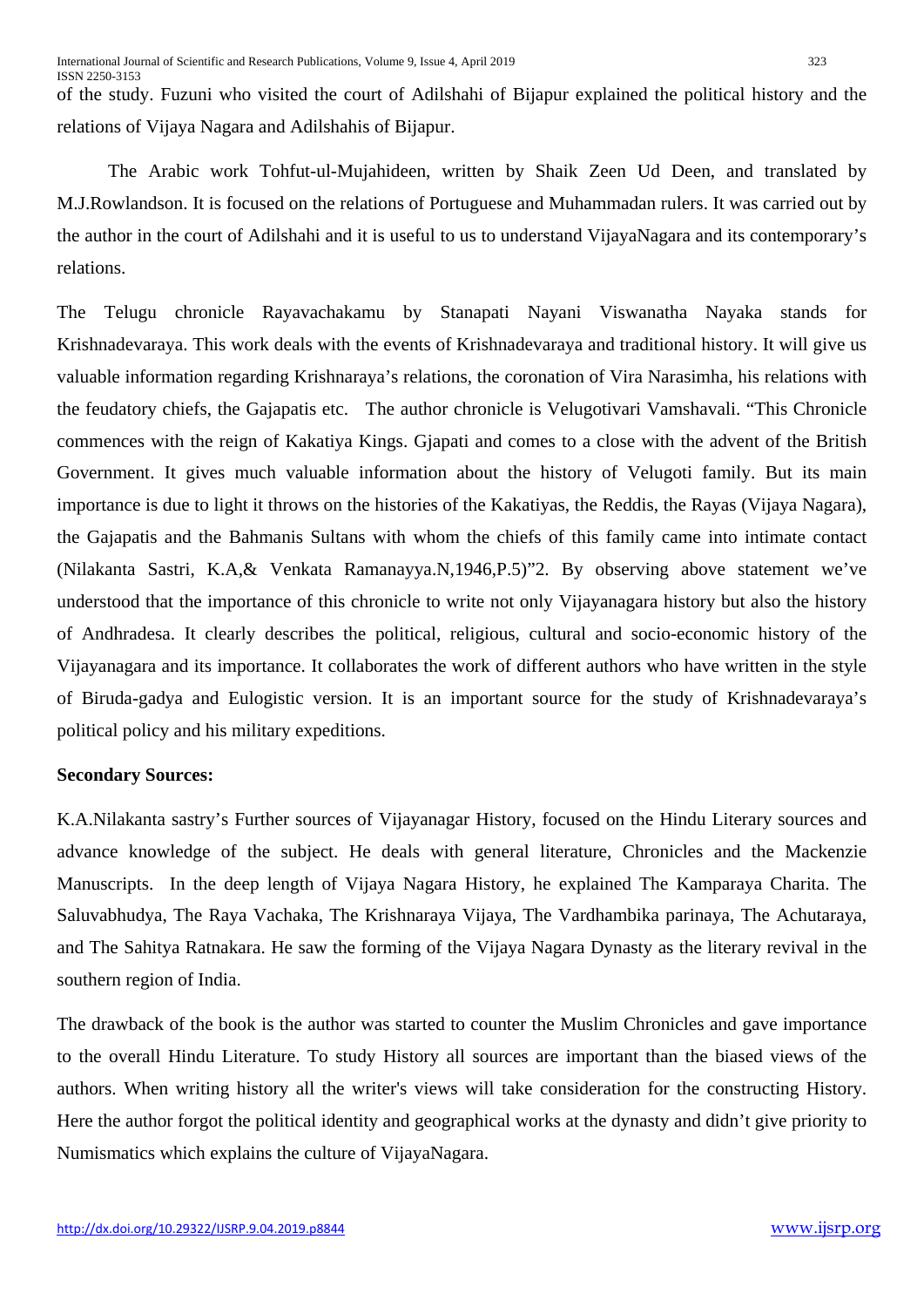of the study. Fuzuni who visited the court of Adilshahi of Bijapur explained the political history and the relations of Vijaya Nagara and Adilshahis of Bijapur.

 The Arabic work Tohfut-ul-Mujahideen, written by Shaik Zeen Ud Deen, and translated by M.J.Rowlandson. It is focused on the relations of Portuguese and Muhammadan rulers. It was carried out by the author in the court of Adilshahi and it is useful to us to understand VijayaNagara and its contemporary's relations.

The Telugu chronicle Rayavachakamu by Stanapati Nayani Viswanatha Nayaka stands for Krishnadevaraya. This work deals with the events of Krishnadevaraya and traditional history. It will give us valuable information regarding Krishnaraya's relations, the coronation of Vira Narasimha, his relations with the feudatory chiefs, the Gajapatis etc. The author chronicle is Velugotivari Vamshavali. "This Chronicle commences with the reign of Kakatiya Kings. Gjapati and comes to a close with the advent of the British Government. It gives much valuable information about the history of Velugoti family. But its main importance is due to light it throws on the histories of the Kakatiyas, the Reddis, the Rayas (Vijaya Nagara), the Gajapatis and the Bahmanis Sultans with whom the chiefs of this family came into intimate contact (Nilakanta Sastri, K.A,& Venkata Ramanayya.N,1946,P.5)"2. By observing above statement we've understood that the importance of this chronicle to write not only Vijayanagara history but also the history of Andhradesa. It clearly describes the political, religious, cultural and socio-economic history of the Vijayanagara and its importance. It collaborates the work of different authors who have written in the style of Biruda-gadya and Eulogistic version. It is an important source for the study of Krishnadevaraya's political policy and his military expeditions.

#### **Secondary Sources:**

K.A.Nilakanta sastry's Further sources of Vijayanagar History, focused on the Hindu Literary sources and advance knowledge of the subject. He deals with general literature, Chronicles and the Mackenzie Manuscripts. In the deep length of Vijaya Nagara History, he explained The Kamparaya Charita. The Saluvabhudya, The Raya Vachaka, The Krishnaraya Vijaya, The Vardhambika parinaya, The Achutaraya, and The Sahitya Ratnakara. He saw the forming of the Vijaya Nagara Dynasty as the literary revival in the southern region of India.

The drawback of the book is the author was started to counter the Muslim Chronicles and gave importance to the overall Hindu Literature. To study History all sources are important than the biased views of the authors. When writing history all the writer's views will take consideration for the constructing History. Here the author forgot the political identity and geographical works at the dynasty and didn't give priority to Numismatics which explains the culture of VijayaNagara.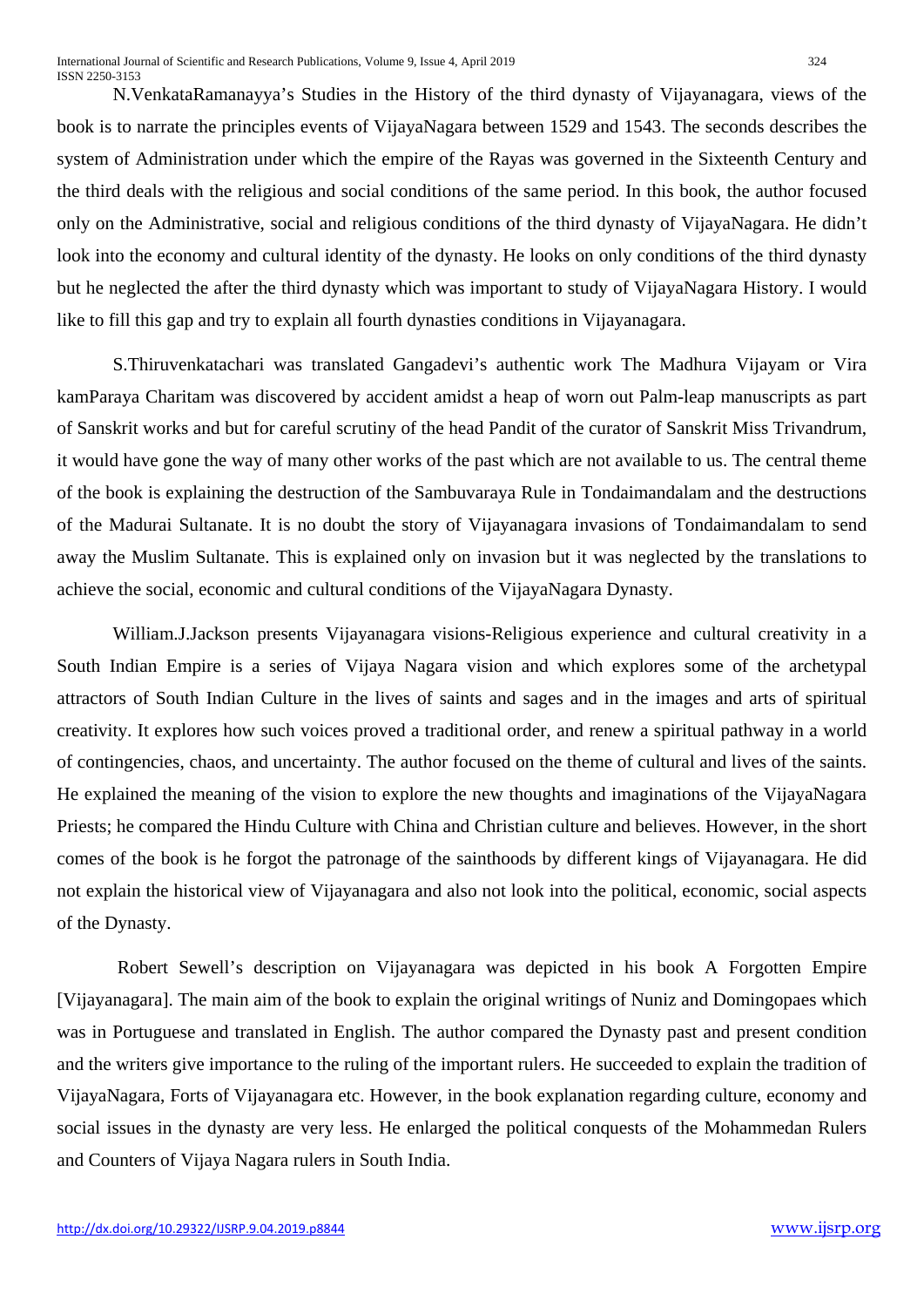N.VenkataRamanayya's Studies in the History of the third dynasty of Vijayanagara, views of the book is to narrate the principles events of VijayaNagara between 1529 and 1543. The seconds describes the system of Administration under which the empire of the Rayas was governed in the Sixteenth Century and the third deals with the religious and social conditions of the same period. In this book, the author focused only on the Administrative, social and religious conditions of the third dynasty of VijayaNagara. He didn't look into the economy and cultural identity of the dynasty. He looks on only conditions of the third dynasty but he neglected the after the third dynasty which was important to study of VijayaNagara History. I would like to fill this gap and try to explain all fourth dynasties conditions in Vijayanagara.

S.Thiruvenkatachari was translated Gangadevi's authentic work The Madhura Vijayam or Vira kamParaya Charitam was discovered by accident amidst a heap of worn out Palm-leap manuscripts as part of Sanskrit works and but for careful scrutiny of the head Pandit of the curator of Sanskrit Miss Trivandrum, it would have gone the way of many other works of the past which are not available to us. The central theme of the book is explaining the destruction of the Sambuvaraya Rule in Tondaimandalam and the destructions of the Madurai Sultanate. It is no doubt the story of Vijayanagara invasions of Tondaimandalam to send away the Muslim Sultanate. This is explained only on invasion but it was neglected by the translations to achieve the social, economic and cultural conditions of the VijayaNagara Dynasty.

William.J.Jackson presents Vijayanagara visions-Religious experience and cultural creativity in a South Indian Empire is a series of Vijaya Nagara vision and which explores some of the archetypal attractors of South Indian Culture in the lives of saints and sages and in the images and arts of spiritual creativity. It explores how such voices proved a traditional order, and renew a spiritual pathway in a world of contingencies, chaos, and uncertainty. The author focused on the theme of cultural and lives of the saints. He explained the meaning of the vision to explore the new thoughts and imaginations of the VijayaNagara Priests; he compared the Hindu Culture with China and Christian culture and believes. However, in the short comes of the book is he forgot the patronage of the sainthoods by different kings of Vijayanagara. He did not explain the historical view of Vijayanagara and also not look into the political, economic, social aspects of the Dynasty.

Robert Sewell's description on Vijayanagara was depicted in his book A Forgotten Empire [Vijayanagara]. The main aim of the book to explain the original writings of Nuniz and Domingopaes which was in Portuguese and translated in English. The author compared the Dynasty past and present condition and the writers give importance to the ruling of the important rulers. He succeeded to explain the tradition of VijayaNagara, Forts of Vijayanagara etc. However, in the book explanation regarding culture, economy and social issues in the dynasty are very less. He enlarged the political conquests of the Mohammedan Rulers and Counters of Vijaya Nagara rulers in South India.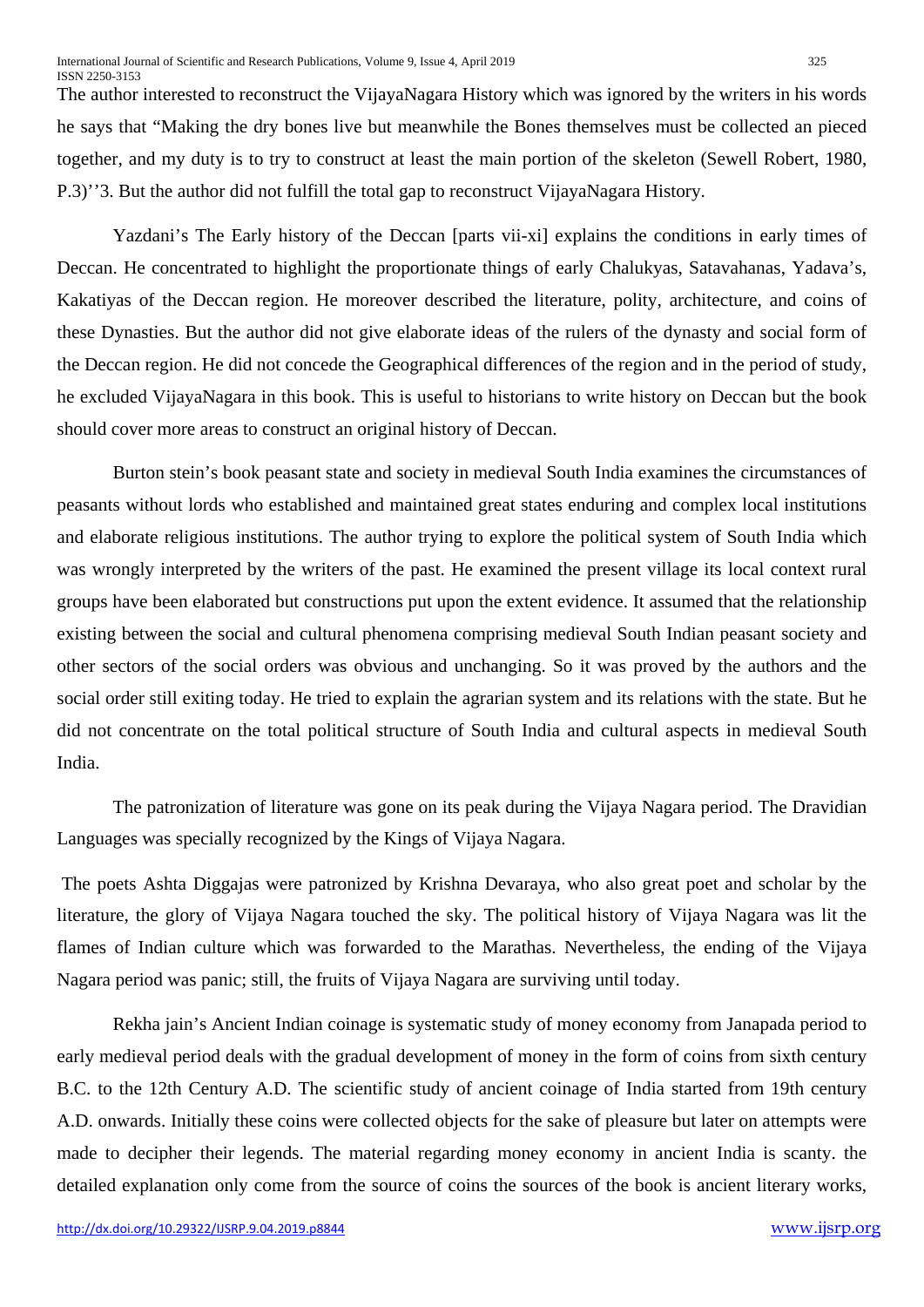The author interested to reconstruct the VijayaNagara History which was ignored by the writers in his words he says that "Making the dry bones live but meanwhile the Bones themselves must be collected an pieced together, and my duty is to try to construct at least the main portion of the skeleton (Sewell Robert, 1980, P.3)''3. But the author did not fulfill the total gap to reconstruct VijayaNagara History.

Yazdani's The Early history of the Deccan [parts vii-xi] explains the conditions in early times of Deccan. He concentrated to highlight the proportionate things of early Chalukyas, Satavahanas, Yadava's, Kakatiyas of the Deccan region. He moreover described the literature, polity, architecture, and coins of these Dynasties. But the author did not give elaborate ideas of the rulers of the dynasty and social form of the Deccan region. He did not concede the Geographical differences of the region and in the period of study, he excluded VijayaNagara in this book. This is useful to historians to write history on Deccan but the book should cover more areas to construct an original history of Deccan.

Burton stein's book peasant state and society in medieval South India examines the circumstances of peasants without lords who established and maintained great states enduring and complex local institutions and elaborate religious institutions. The author trying to explore the political system of South India which was wrongly interpreted by the writers of the past. He examined the present village its local context rural groups have been elaborated but constructions put upon the extent evidence. It assumed that the relationship existing between the social and cultural phenomena comprising medieval South Indian peasant society and other sectors of the social orders was obvious and unchanging. So it was proved by the authors and the social order still exiting today. He tried to explain the agrarian system and its relations with the state. But he did not concentrate on the total political structure of South India and cultural aspects in medieval South India.

The patronization of literature was gone on its peak during the Vijaya Nagara period. The Dravidian Languages was specially recognized by the Kings of Vijaya Nagara.

The poets Ashta Diggajas were patronized by Krishna Devaraya, who also great poet and scholar by the literature, the glory of Vijaya Nagara touched the sky. The political history of Vijaya Nagara was lit the flames of Indian culture which was forwarded to the Marathas. Nevertheless, the ending of the Vijaya Nagara period was panic; still, the fruits of Vijaya Nagara are surviving until today.

Rekha jain's Ancient Indian coinage is systematic study of money economy from Janapada period to early medieval period deals with the gradual development of money in the form of coins from sixth century B.C. to the 12th Century A.D. The scientific study of ancient coinage of India started from 19th century A.D. onwards. Initially these coins were collected objects for the sake of pleasure but later on attempts were made to decipher their legends. The material regarding money economy in ancient India is scanty. the detailed explanation only come from the source of coins the sources of the book is ancient literary works,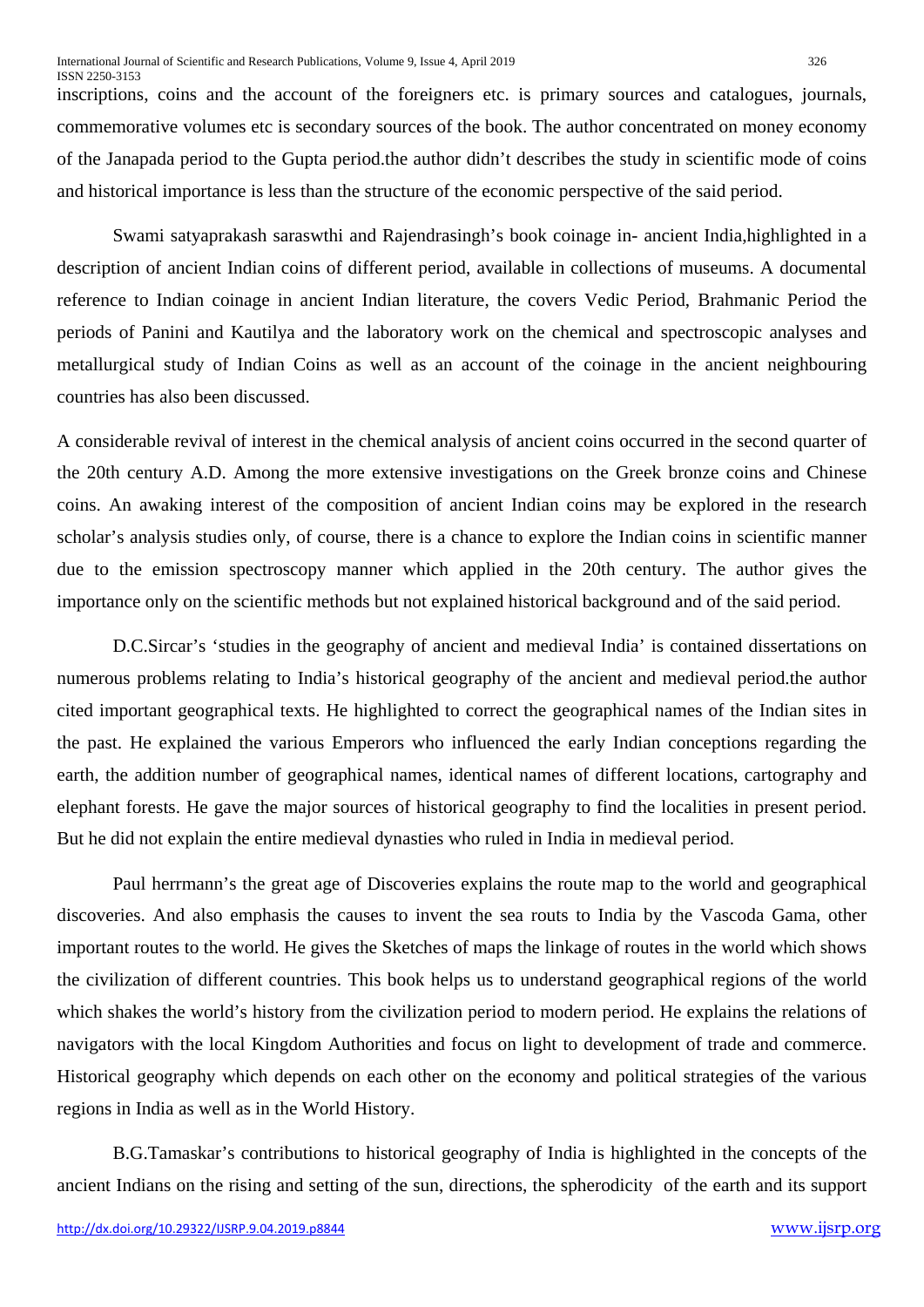inscriptions, coins and the account of the foreigners etc. is primary sources and catalogues, journals, commemorative volumes etc is secondary sources of the book. The author concentrated on money economy of the Janapada period to the Gupta period.the author didn't describes the study in scientific mode of coins and historical importance is less than the structure of the economic perspective of the said period.

Swami satyaprakash saraswthi and Rajendrasingh's book coinage in- ancient India,highlighted in a description of ancient Indian coins of different period, available in collections of museums. A documental reference to Indian coinage in ancient Indian literature, the covers Vedic Period, Brahmanic Period the periods of Panini and Kautilya and the laboratory work on the chemical and spectroscopic analyses and metallurgical study of Indian Coins as well as an account of the coinage in the ancient neighbouring countries has also been discussed.

A considerable revival of interest in the chemical analysis of ancient coins occurred in the second quarter of the 20th century A.D. Among the more extensive investigations on the Greek bronze coins and Chinese coins. An awaking interest of the composition of ancient Indian coins may be explored in the research scholar's analysis studies only, of course, there is a chance to explore the Indian coins in scientific manner due to the emission spectroscopy manner which applied in the 20th century. The author gives the importance only on the scientific methods but not explained historical background and of the said period.

D.C.Sircar's 'studies in the geography of ancient and medieval India' is contained dissertations on numerous problems relating to India's historical geography of the ancient and medieval period.the author cited important geographical texts. He highlighted to correct the geographical names of the Indian sites in the past. He explained the various Emperors who influenced the early Indian conceptions regarding the earth, the addition number of geographical names, identical names of different locations, cartography and elephant forests. He gave the major sources of historical geography to find the localities in present period. But he did not explain the entire medieval dynasties who ruled in India in medieval period.

Paul herrmann's the great age of Discoveries explains the route map to the world and geographical discoveries. And also emphasis the causes to invent the sea routs to India by the Vascoda Gama, other important routes to the world. He gives the Sketches of maps the linkage of routes in the world which shows the civilization of different countries. This book helps us to understand geographical regions of the world which shakes the world's history from the civilization period to modern period. He explains the relations of navigators with the local Kingdom Authorities and focus on light to development of trade and commerce. Historical geography which depends on each other on the economy and political strategies of the various regions in India as well as in the World History.

B.G.Tamaskar's contributions to historical geography of India is highlighted in the concepts of the ancient Indians on the rising and setting of the sun, directions, the spherodicity of the earth and its support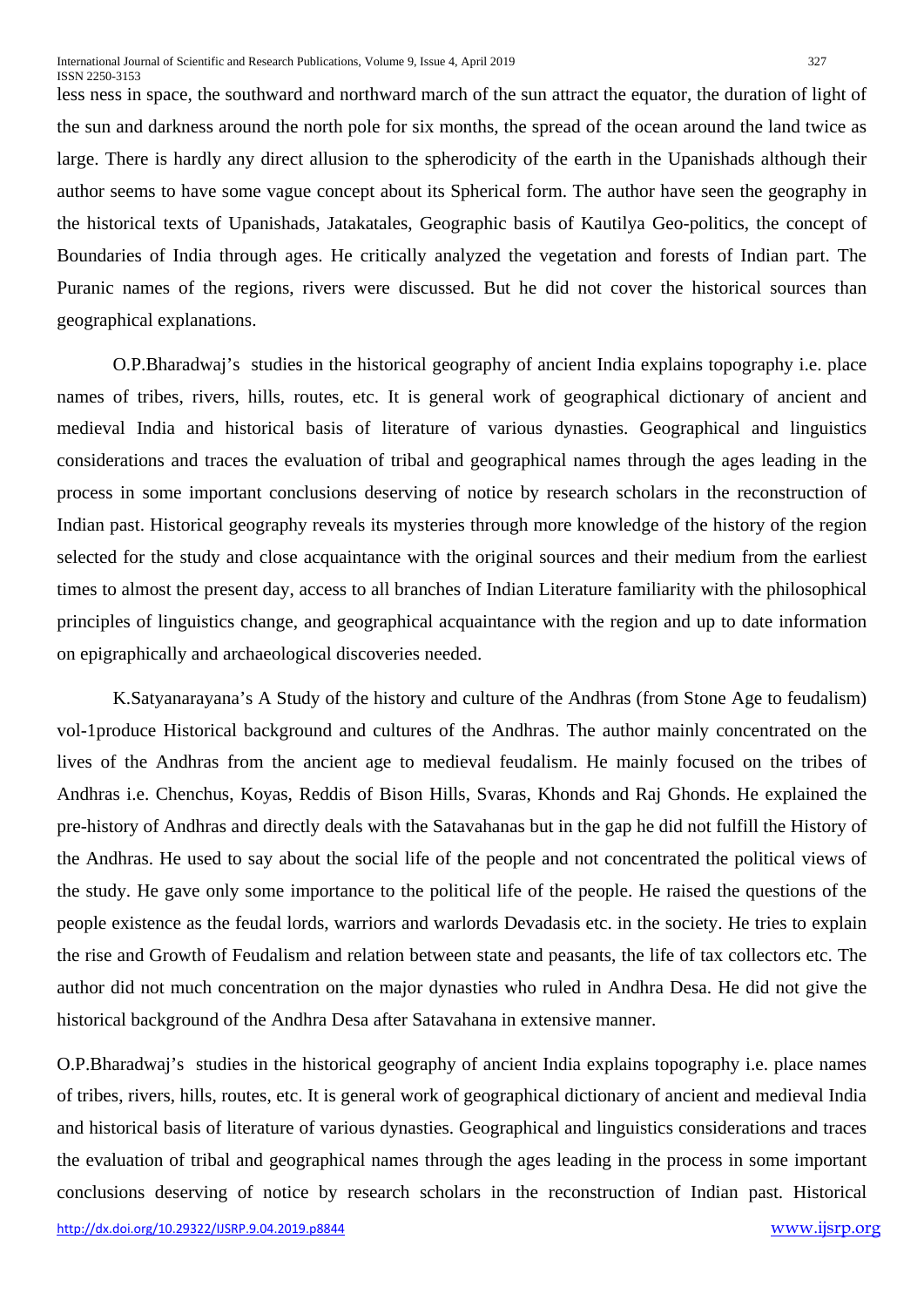less ness in space, the southward and northward march of the sun attract the equator, the duration of light of the sun and darkness around the north pole for six months, the spread of the ocean around the land twice as large. There is hardly any direct allusion to the spherodicity of the earth in the Upanishads although their author seems to have some vague concept about its Spherical form. The author have seen the geography in the historical texts of Upanishads, Jatakatales, Geographic basis of Kautilya Geo-politics, the concept of Boundaries of India through ages. He critically analyzed the vegetation and forests of Indian part. The Puranic names of the regions, rivers were discussed. But he did not cover the historical sources than geographical explanations.

O.P.Bharadwaj's studies in the historical geography of ancient India explains topography i.e. place names of tribes, rivers, hills, routes, etc. It is general work of geographical dictionary of ancient and medieval India and historical basis of literature of various dynasties. Geographical and linguistics considerations and traces the evaluation of tribal and geographical names through the ages leading in the process in some important conclusions deserving of notice by research scholars in the reconstruction of Indian past. Historical geography reveals its mysteries through more knowledge of the history of the region selected for the study and close acquaintance with the original sources and their medium from the earliest times to almost the present day, access to all branches of Indian Literature familiarity with the philosophical principles of linguistics change, and geographical acquaintance with the region and up to date information on epigraphically and archaeological discoveries needed.

K.Satyanarayana's A Study of the history and culture of the Andhras (from Stone Age to feudalism) vol-1produce Historical background and cultures of the Andhras. The author mainly concentrated on the lives of the Andhras from the ancient age to medieval feudalism. He mainly focused on the tribes of Andhras i.e. Chenchus, Koyas, Reddis of Bison Hills, Svaras, Khonds and Raj Ghonds. He explained the pre-history of Andhras and directly deals with the Satavahanas but in the gap he did not fulfill the History of the Andhras. He used to say about the social life of the people and not concentrated the political views of the study. He gave only some importance to the political life of the people. He raised the questions of the people existence as the feudal lords, warriors and warlords Devadasis etc. in the society. He tries to explain the rise and Growth of Feudalism and relation between state and peasants, the life of tax collectors etc. The author did not much concentration on the major dynasties who ruled in Andhra Desa. He did not give the historical background of the Andhra Desa after Satavahana in extensive manner.

O.P.Bharadwaj's studies in the historical geography of ancient India explains topography i.e. place names of tribes, rivers, hills, routes, etc. It is general work of geographical dictionary of ancient and medieval India and historical basis of literature of various dynasties. Geographical and linguistics considerations and traces the evaluation of tribal and geographical names through the ages leading in the process in some important conclusions deserving of notice by research scholars in the reconstruction of Indian past. Historical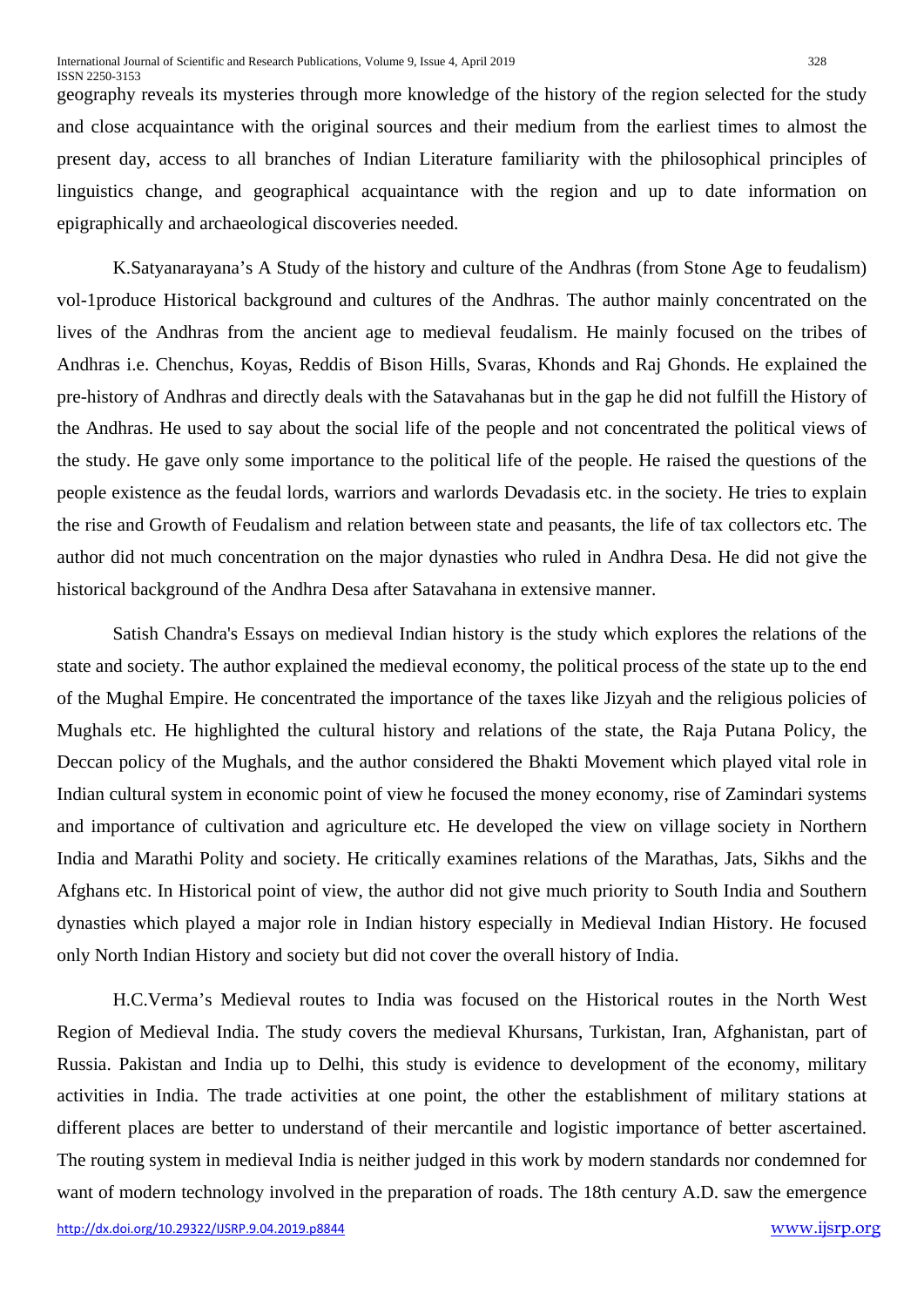geography reveals its mysteries through more knowledge of the history of the region selected for the study and close acquaintance with the original sources and their medium from the earliest times to almost the present day, access to all branches of Indian Literature familiarity with the philosophical principles of linguistics change, and geographical acquaintance with the region and up to date information on epigraphically and archaeological discoveries needed.

K.Satyanarayana's A Study of the history and culture of the Andhras (from Stone Age to feudalism) vol-1produce Historical background and cultures of the Andhras. The author mainly concentrated on the lives of the Andhras from the ancient age to medieval feudalism. He mainly focused on the tribes of Andhras i.e. Chenchus, Koyas, Reddis of Bison Hills, Svaras, Khonds and Raj Ghonds. He explained the pre-history of Andhras and directly deals with the Satavahanas but in the gap he did not fulfill the History of the Andhras. He used to say about the social life of the people and not concentrated the political views of the study. He gave only some importance to the political life of the people. He raised the questions of the people existence as the feudal lords, warriors and warlords Devadasis etc. in the society. He tries to explain the rise and Growth of Feudalism and relation between state and peasants, the life of tax collectors etc. The author did not much concentration on the major dynasties who ruled in Andhra Desa. He did not give the historical background of the Andhra Desa after Satavahana in extensive manner.

Satish Chandra's Essays on medieval Indian history is the study which explores the relations of the state and society. The author explained the medieval economy, the political process of the state up to the end of the Mughal Empire. He concentrated the importance of the taxes like Jizyah and the religious policies of Mughals etc. He highlighted the cultural history and relations of the state, the Raja Putana Policy, the Deccan policy of the Mughals, and the author considered the Bhakti Movement which played vital role in Indian cultural system in economic point of view he focused the money economy, rise of Zamindari systems and importance of cultivation and agriculture etc. He developed the view on village society in Northern India and Marathi Polity and society. He critically examines relations of the Marathas, Jats, Sikhs and the Afghans etc. In Historical point of view, the author did not give much priority to South India and Southern dynasties which played a major role in Indian history especially in Medieval Indian History. He focused only North Indian History and society but did not cover the overall history of India.

H.C.Verma's Medieval routes to India was focused on the Historical routes in the North West Region of Medieval India. The study covers the medieval Khursans, Turkistan, Iran, Afghanistan, part of Russia. Pakistan and India up to Delhi, this study is evidence to development of the economy, military activities in India. The trade activities at one point, the other the establishment of military stations at different places are better to understand of their mercantile and logistic importance of better ascertained. The routing system in medieval India is neither judged in this work by modern standards nor condemned for want of modern technology involved in the preparation of roads. The 18th century A.D. saw the emergence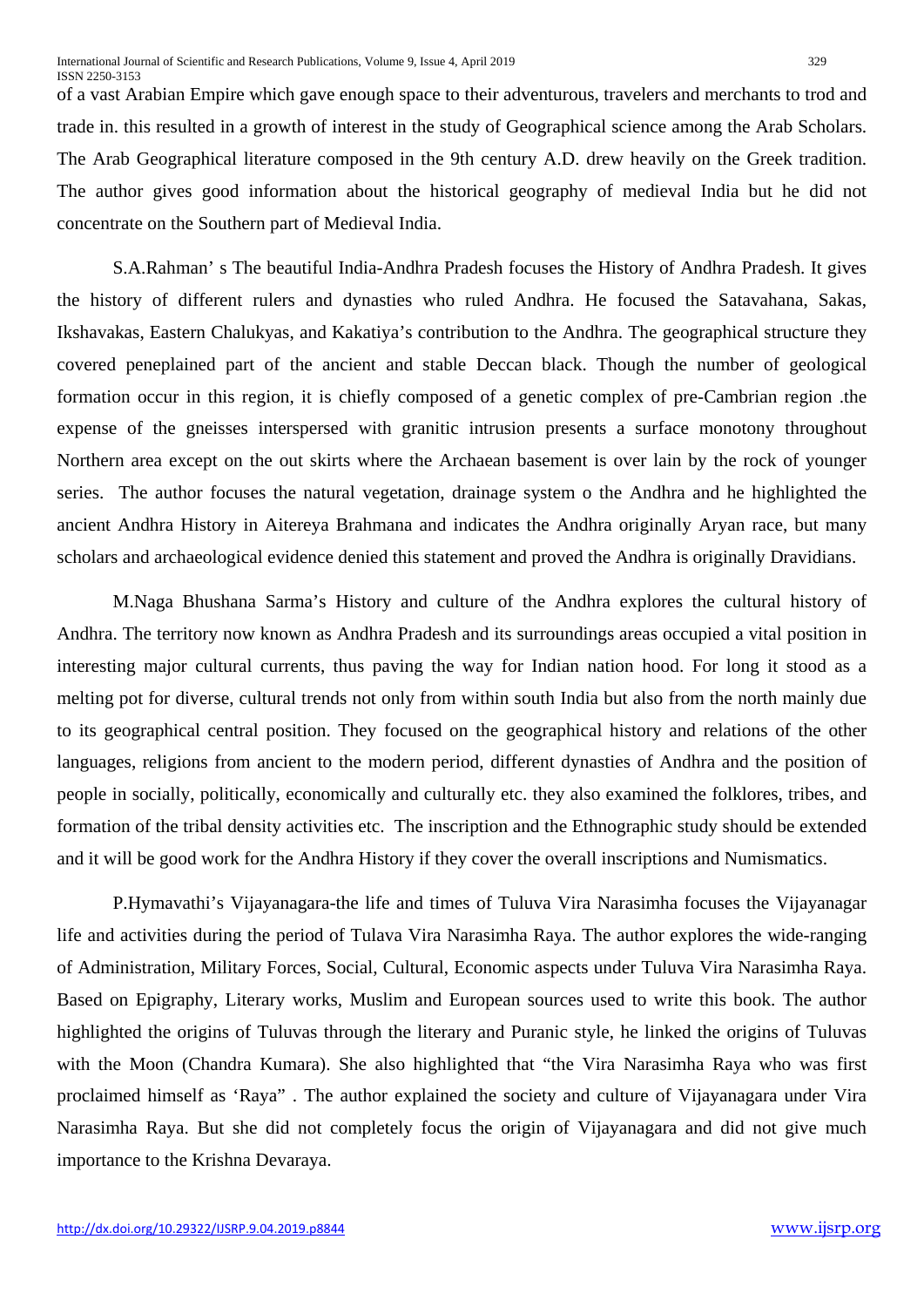of a vast Arabian Empire which gave enough space to their adventurous, travelers and merchants to trod and trade in. this resulted in a growth of interest in the study of Geographical science among the Arab Scholars. The Arab Geographical literature composed in the 9th century A.D. drew heavily on the Greek tradition. The author gives good information about the historical geography of medieval India but he did not concentrate on the Southern part of Medieval India.

S.A.Rahman' s The beautiful India-Andhra Pradesh focuses the History of Andhra Pradesh. It gives the history of different rulers and dynasties who ruled Andhra. He focused the Satavahana, Sakas, Ikshavakas, Eastern Chalukyas, and Kakatiya's contribution to the Andhra. The geographical structure they covered peneplained part of the ancient and stable Deccan black. Though the number of geological formation occur in this region, it is chiefly composed of a genetic complex of pre-Cambrian region .the expense of the gneisses interspersed with granitic intrusion presents a surface monotony throughout Northern area except on the out skirts where the Archaean basement is over lain by the rock of younger series. The author focuses the natural vegetation, drainage system o the Andhra and he highlighted the ancient Andhra History in Aitereya Brahmana and indicates the Andhra originally Aryan race, but many scholars and archaeological evidence denied this statement and proved the Andhra is originally Dravidians.

M.Naga Bhushana Sarma's History and culture of the Andhra explores the cultural history of Andhra. The territory now known as Andhra Pradesh and its surroundings areas occupied a vital position in interesting major cultural currents, thus paving the way for Indian nation hood. For long it stood as a melting pot for diverse, cultural trends not only from within south India but also from the north mainly due to its geographical central position. They focused on the geographical history and relations of the other languages, religions from ancient to the modern period, different dynasties of Andhra and the position of people in socially, politically, economically and culturally etc. they also examined the folklores, tribes, and formation of the tribal density activities etc. The inscription and the Ethnographic study should be extended and it will be good work for the Andhra History if they cover the overall inscriptions and Numismatics.

P.Hymavathi's Vijayanagara-the life and times of Tuluva Vira Narasimha focuses the Vijayanagar life and activities during the period of Tulava Vira Narasimha Raya. The author explores the wide-ranging of Administration, Military Forces, Social, Cultural, Economic aspects under Tuluva Vira Narasimha Raya. Based on Epigraphy, Literary works, Muslim and European sources used to write this book. The author highlighted the origins of Tuluvas through the literary and Puranic style, he linked the origins of Tuluvas with the Moon (Chandra Kumara). She also highlighted that "the Vira Narasimha Raya who was first proclaimed himself as 'Raya" . The author explained the society and culture of Vijayanagara under Vira Narasimha Raya. But she did not completely focus the origin of Vijayanagara and did not give much importance to the Krishna Devaraya.